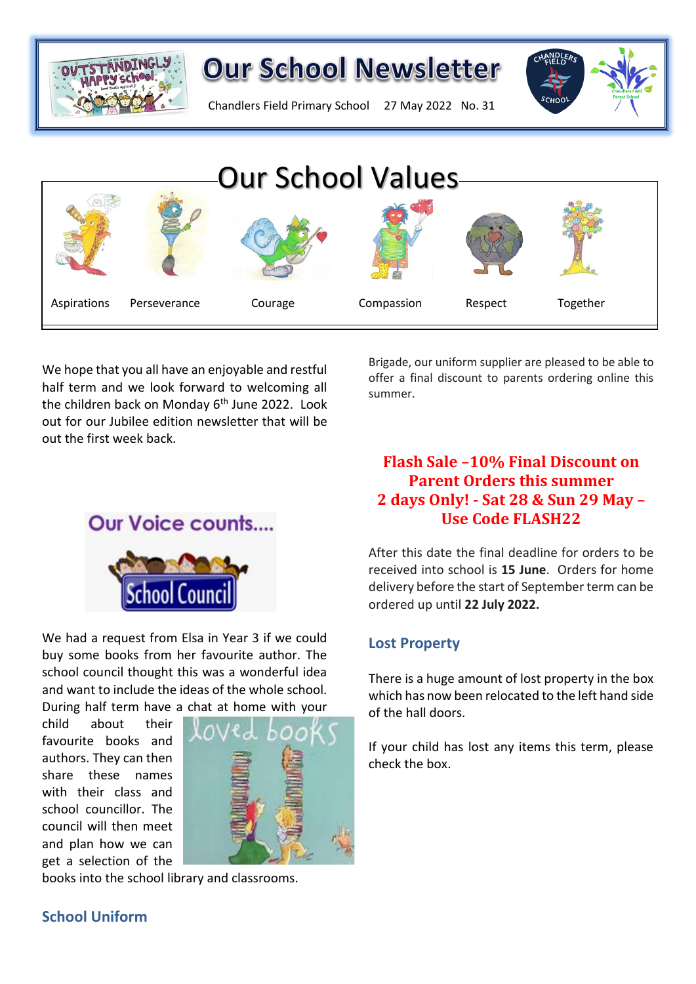

## **Our School Newsletter**

Chandlers Field Primary School 27 May 2022 No. 31



We hope that you all have an enjoyable and restful half term and we look forward to welcoming all the children back on Monday 6th June 2022. Look out for our Jubilee edition newsletter that will be out the first week back.  $A_1$  and  $B_2$  are  $C_1$  and  $C_2$  and  $C_3$  are personal Respect Togetherrow Respect Togetherrow Respect Togetherrow Respect Togetherrow Respect Togetherrow Respect Togetherrow Respect Togetherrow Respect Togetherrow Re

Brigade, our uniform supplier are pleased to be able to offer a final discount to parents ordering online this summer.

## **Flash Sale –10% Final Discount on Parent Orders this summer 2 days Only! - Sat 28 & Sun 29 May – Use Code FLASH22**

After this date the final deadline for orders to be received into school is **15 June**. Orders for home delivery before the start of September term can be ordered up until **22 July 2022.**

## **Lost Property**

There is a huge amount of lost property in the box which has now been relocated to the left hand side of the hall doors.

If your child has lost any items this term, please check the box.

**Our Voice counts....** school Counc

We had a request from Elsa in Year 3 if we could buy some books from her favourite author. The school council thought this was a wonderful idea and want to include the ideas of the whole school. During half term have a chat at home with your

child about their favourite books and authors. They can then share these names with their class and school councillor. The council will then meet and plan how we can get a selection of the



books into the school library and classrooms.

## **School Uniform**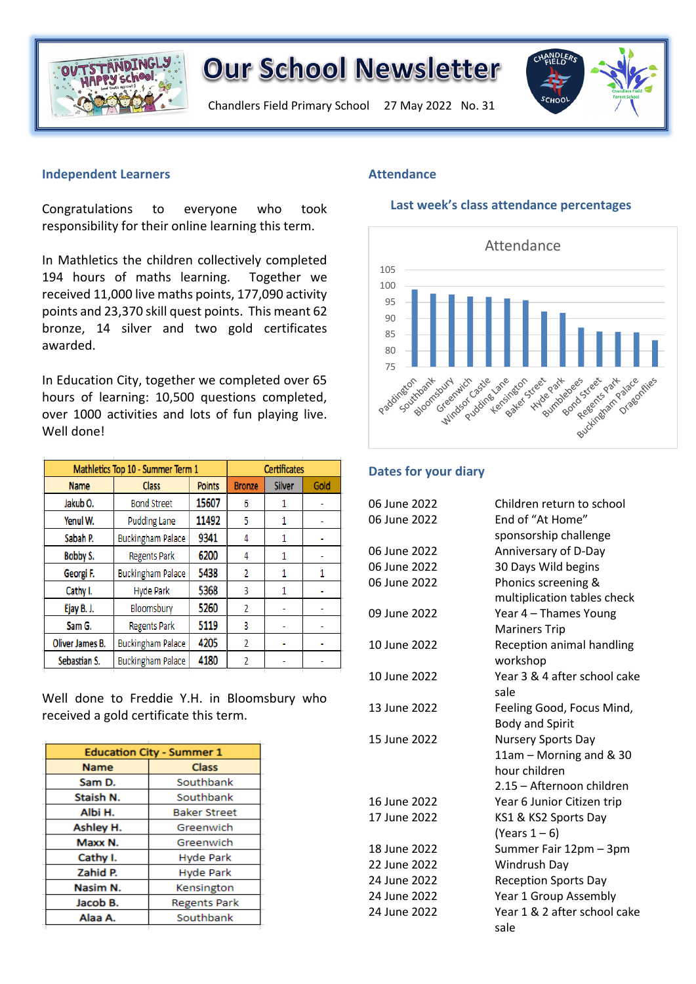

# **Our School Newsletter**

Chandlers Field Primary School 27 May 2022 No. 31



#### **Independent Learners**

Congratulations to everyone who took responsibility for their online learning this term.

In Mathletics the children collectively completed 194 hours of maths learning. Together we received 11,000 live maths points, 177,090 activity points and 23,370 skill quest points. This meant 62 bronze, 14 silver and two gold certificates awarded.

In Education City, together we completed over 65 hours of learning: 10,500 questions completed, over 1000 activities and lots of fun playing live. Well done!

| Mathletics Top 10 - Summer Term 1 |                          |               | <b>Certificates</b> |               |      |
|-----------------------------------|--------------------------|---------------|---------------------|---------------|------|
| <b>Name</b>                       | <b>Class</b>             | <b>Points</b> | <b>Bronze</b>       | <b>Silver</b> | Gold |
| Jakub O.                          | <b>Bond Street</b>       | 15607         | 6                   |               |      |
| Yenul W.                          | <b>Pudding Lane</b>      | 11492         | 5                   | 1             |      |
| Sabah P.                          | <b>Buckingham Palace</b> | 9341          | 4                   |               |      |
| Bobby S.                          | <b>Regents Park</b>      | 6200          | 4                   |               |      |
| Georgi F.                         | <b>Buckingham Palace</b> | 5438          | $\overline{2}$      | 1             | 1    |
| Cathy I.                          | <b>Hyde Park</b>         | 5368          | 3                   | 1             |      |
| Ejay B. J.                        | Bloomsbury               | 5260          | 2                   |               |      |
| Sam G.                            | <b>Regents Park</b>      | 5119          | 3                   |               |      |
| Oliver James B.                   | <b>Buckingham Palace</b> | 4205          | $\overline{2}$      |               |      |
| Sebastian S.                      | <b>Buckingham Palace</b> | 4180          | 2                   |               |      |

Well done to Freddie Y.H. in Bloomsbury who received a gold certificate this term.

| <b>Education City - Summer 1</b> |                     |  |  |
|----------------------------------|---------------------|--|--|
| <b>Name</b>                      | <b>Class</b>        |  |  |
| Sam D.                           | Southbank           |  |  |
| Staish N.                        | Southbank           |  |  |
| Albi H.                          | <b>Baker Street</b> |  |  |
| Ashley H.                        | Greenwich           |  |  |
| Maxx N.                          | Greenwich           |  |  |
| Cathy I.                         | <b>Hyde Park</b>    |  |  |
| Zahid P.                         | <b>Hyde Park</b>    |  |  |
| Nasim N.                         | Kensington          |  |  |
| Jacob B.                         | <b>Regents Park</b> |  |  |
| Alaa A.                          | Southbank           |  |  |
|                                  |                     |  |  |

#### **Attendance**

#### **Last week's class attendance percentages**



#### **Dates for your diary**

| 06 June 2022 | Children return to school    |
|--------------|------------------------------|
| 06 June 2022 | End of "At Home"             |
|              | sponsorship challenge        |
| 06 June 2022 | Anniversary of D-Day         |
| 06 June 2022 | 30 Days Wild begins          |
| 06 June 2022 | Phonics screening &          |
|              | multiplication tables check  |
| 09 June 2022 | Year 4 - Thames Young        |
|              | <b>Mariners Trip</b>         |
| 10 June 2022 | Reception animal handling    |
|              | workshop                     |
| 10 June 2022 | Year 3 & 4 after school cake |
|              | sale                         |
| 13 June 2022 | Feeling Good, Focus Mind,    |
|              | <b>Body and Spirit</b>       |
| 15 June 2022 | Nursery Sports Day           |
|              | 11am - Morning and & 30      |
|              | hour children                |
|              | 2.15 - Afternoon children    |
| 16 June 2022 | Year 6 Junior Citizen trip   |
| 17 June 2022 | KS1 & KS2 Sports Day         |
|              | (Years $1-6$ )               |
| 18 June 2022 | Summer Fair 12pm - 3pm       |
| 22 June 2022 | Windrush Day                 |
| 24 June 2022 | <b>Reception Sports Day</b>  |
| 24 June 2022 | Year 1 Group Assembly        |
| 24 June 2022 | Year 1 & 2 after school cake |
|              | sale                         |